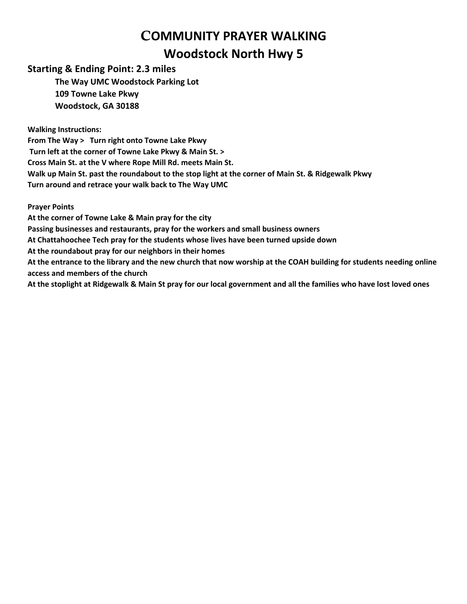## C**OMMUNITY PRAYER WALKING Woodstock North Hwy 5**

## **Starting & Ending Point: 2.3 miles**

**The Way UMC Woodstock Parking Lot 109 Towne Lake Pkwy Woodstock, GA 30188**

**Walking Instructions:**

**From The Way > Turn right onto Towne Lake Pkwy Turn left at the corner of Towne Lake Pkwy & Main St. > Cross Main St. at the V where Rope Mill Rd. meets Main St. Walk up Main St. past the roundabout to the stop light at the corner of Main St. & Ridgewalk Pkwy Turn around and retrace your walk back to The Way UMC**

**Prayer Points**

**At the corner of Towne Lake & Main pray for the city**

**Passing businesses and restaurants, pray for the workers and small business owners**

**At Chattahoochee Tech pray for the students whose lives have been turned upside down**

**At the roundabout pray for our neighbors in their homes**

**At the entrance to the library and the new church that now worship at the COAH building for students needing online access and members of the church** 

**At the stoplight at Ridgewalk & Main St pray for our local government and all the families who have lost loved ones**